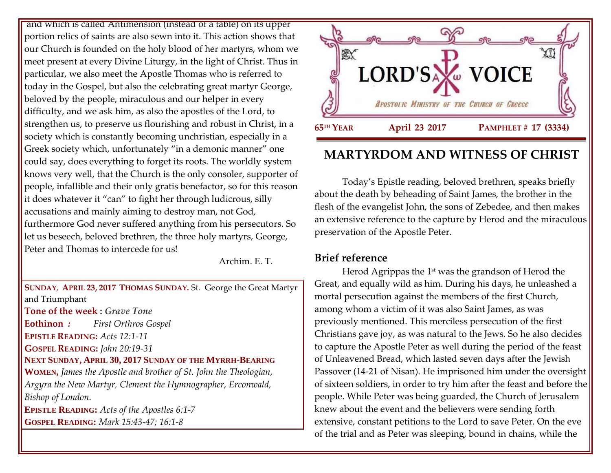and which is called Antimension (instead of a table) on its upper portion relics of saints are also sewn into it. This action shows that our Church is founded on the holy blood of her martyrs, whom we meet present at every Divine Liturgy, in the light of Christ. Thus in particular, we also meet the Apostle Thomas who is referred to today in the Gospel, but also the celebrating great martyr George, beloved by the people, miraculous and our helper in every difficulty, and we ask him, as also the apostles of the Lord, to strengthen us, to preserve us flourishing and robust in Christ, in a society which is constantly becoming unchristian, especially in a Greek society which, unfortunately "in a demonic manner" one could say, does everything to forget its roots. The worldly system knows very well, that the Church is the only consoler, supporter of people, infallible and their only gratis benefactor, so for this reason it does whatever it "can" to fight her through ludicrous, silly accusations and mainly aiming to destroy man, not God, furthermore God never suffered anything from his persecutors. So let us beseech, beloved brethren, the three holy martyrs, George, Peter and Thomas to intercede for us!

Archim. E. T.

**SUNDAY**, **APRIL 23, 2017 THOMAS SUNDAY.** St. George the Great Martyr and Triumphant **Tone of the week :** *Grave Tone* **Eothinon** *: First Orthros Gospel* **EPISTLE READING:** *Acts 12:1-11* **GOSPEL READING:** *John 20:19-31* **NEXT SUNDAY, APRIL 30, 2017 SUNDAY OF THE MYRRH-BEARING WOMEN,** *James the Apostle and brother of St. John the Theologian, Argyra the New Martyr, Clement the Hymnographer, Erconwald, Bishop of London.* **EPISTLE READING:** *Acts of the Apostles 6:1-7* **GOSPEL READING:** *Mark 15:43-47; 16:1-8*



# **MARTYRDOM AND WITNESS OF CHRIST**

Today's Epistle reading, beloved brethren, speaks briefly about the death by beheading of Saint James, the brother in the flesh of the evangelist John, the sons of Zebedee, and then makes an extensive reference to the capture by Herod and the miraculous preservation of the Apostle Peter.

## **Brief reference**

Herod Agrippas the 1<sup>st</sup> was the grandson of Herod the Great, and equally wild as him. During his days, he unleashed a mortal persecution against the members of the first Church, among whom a victim of it was also Saint James, as was previously mentioned. This merciless persecution of the first Christians gave joy, as was natural to the Jews. So he also decides to capture the Apostle Peter as well during the period of the feast of Unleavened Bread, which lasted seven days after the Jewish Passover (14-21 of Nisan). He imprisoned him under the oversight of sixteen soldiers, in order to try him after the feast and before the people. While Peter was being guarded, the Church of Jerusalem knew about the event and the believers were sending forth extensive, constant petitions to the Lord to save Peter. On the eve of the trial and as Peter was sleeping, bound in chains, while the